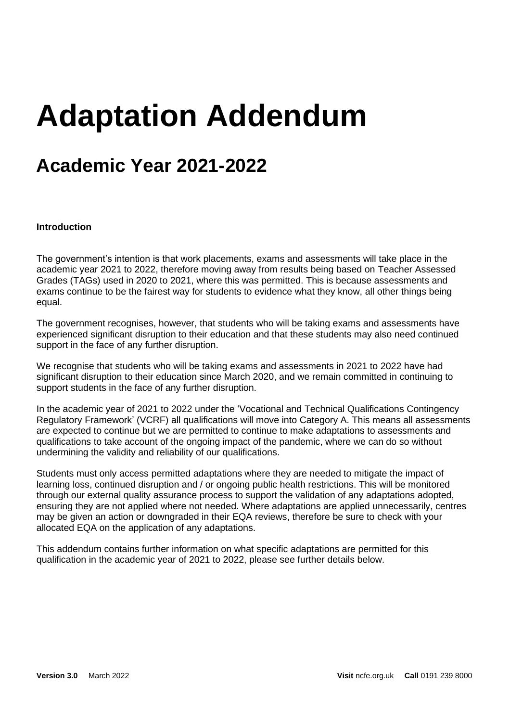# **Adaptation Addendum**

## **Academic Year 2021-2022**

#### **Introduction**

The government's intention is that work placements, exams and assessments will take place in the academic year 2021 to 2022, therefore moving away from results being based on Teacher Assessed Grades (TAGs) used in 2020 to 2021, where this was permitted. This is because assessments and exams continue to be the fairest way for students to evidence what they know, all other things being equal.

The government recognises, however, that students who will be taking exams and assessments have experienced significant disruption to their education and that these students may also need continued support in the face of any further disruption.

We recognise that students who will be taking exams and assessments in 2021 to 2022 have had significant disruption to their education since March 2020, and we remain committed in continuing to support students in the face of any further disruption.

In the academic year of 2021 to 2022 under the 'Vocational and Technical Qualifications Contingency Regulatory Framework' (VCRF) all qualifications will move into Category A. This means all assessments are expected to continue but we are permitted to continue to make adaptations to assessments and qualifications to take account of the ongoing impact of the pandemic, where we can do so without undermining the validity and reliability of our qualifications.

Students must only access permitted adaptations where they are needed to mitigate the impact of learning loss, continued disruption and / or ongoing public health restrictions. This will be monitored through our external quality assurance process to support the validation of any adaptations adopted, ensuring they are not applied where not needed. Where adaptations are applied unnecessarily, centres may be given an action or downgraded in their EQA reviews, therefore be sure to check with your allocated EQA on the application of any adaptations.

This addendum contains further information on what specific adaptations are permitted for this qualification in the academic year of 2021 to 2022, please see further details below.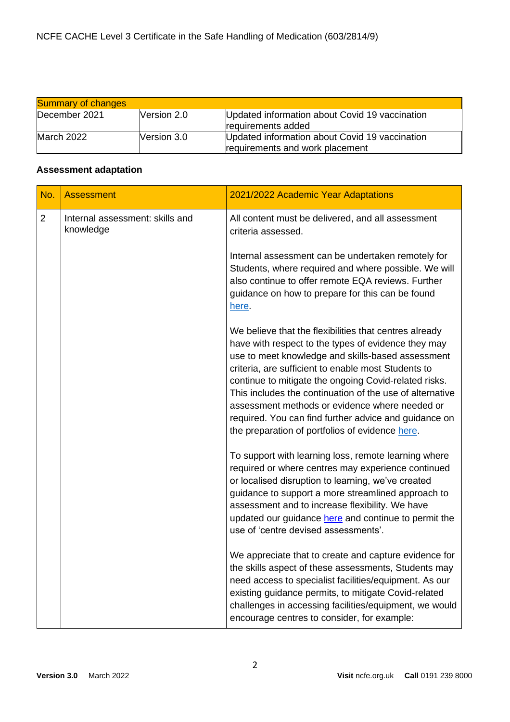| <b>Summary of changes</b> |                    |                                                                                   |
|---------------------------|--------------------|-----------------------------------------------------------------------------------|
| December 2021             | Nersion 2.0        | Updated information about Covid 19 vaccination<br>requirements added              |
| <b>March 2022</b>         | <b>Nersion 3.0</b> | Updated information about Covid 19 vaccination<br>requirements and work placement |

#### **Assessment adaptation**

| No. | <b>Assessment</b>                            | 2021/2022 Academic Year Adaptations                                                                                                                                                                                                                                                                                                                                                                                                                                                                          |
|-----|----------------------------------------------|--------------------------------------------------------------------------------------------------------------------------------------------------------------------------------------------------------------------------------------------------------------------------------------------------------------------------------------------------------------------------------------------------------------------------------------------------------------------------------------------------------------|
| 2   | Internal assessment: skills and<br>knowledge | All content must be delivered, and all assessment<br>criteria assessed.                                                                                                                                                                                                                                                                                                                                                                                                                                      |
|     |                                              | Internal assessment can be undertaken remotely for<br>Students, where required and where possible. We will<br>also continue to offer remote EQA reviews. Further<br>guidance on how to prepare for this can be found<br>here.                                                                                                                                                                                                                                                                                |
|     |                                              | We believe that the flexibilities that centres already<br>have with respect to the types of evidence they may<br>use to meet knowledge and skills-based assessment<br>criteria, are sufficient to enable most Students to<br>continue to mitigate the ongoing Covid-related risks.<br>This includes the continuation of the use of alternative<br>assessment methods or evidence where needed or<br>required. You can find further advice and guidance on<br>the preparation of portfolios of evidence here. |
|     |                                              | To support with learning loss, remote learning where<br>required or where centres may experience continued<br>or localised disruption to learning, we've created<br>guidance to support a more streamlined approach to<br>assessment and to increase flexibility. We have<br>updated our guidance here and continue to permit the<br>use of 'centre devised assessments'.                                                                                                                                    |
|     |                                              | We appreciate that to create and capture evidence for<br>the skills aspect of these assessments, Students may<br>need access to specialist facilities/equipment. As our<br>existing guidance permits, to mitigate Covid-related<br>challenges in accessing facilities/equipment, we would<br>encourage centres to consider, for example:                                                                                                                                                                     |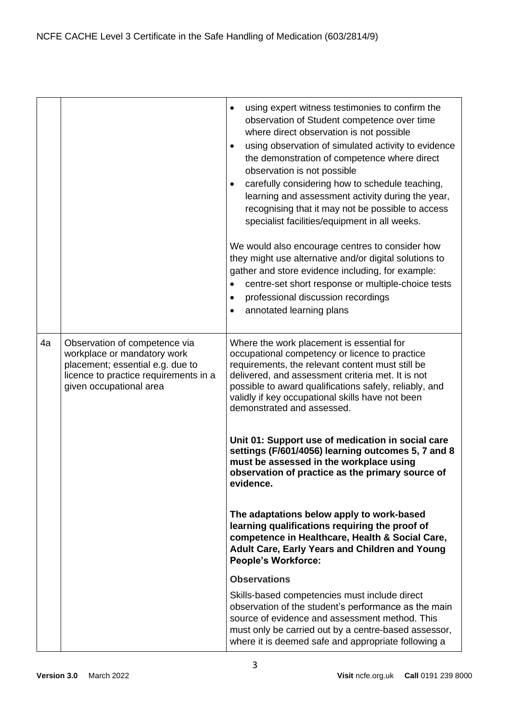|    |                                                                                                                                                                      | using expert witness testimonies to confirm the<br>$\bullet$<br>observation of Student competence over time<br>where direct observation is not possible<br>using observation of simulated activity to evidence<br>$\bullet$<br>the demonstration of competence where direct<br>observation is not possible<br>carefully considering how to schedule teaching,<br>$\bullet$<br>learning and assessment activity during the year,<br>recognising that it may not be possible to access<br>specialist facilities/equipment in all weeks.<br>We would also encourage centres to consider how<br>they might use alternative and/or digital solutions to<br>gather and store evidence including, for example:<br>centre-set short response or multiple-choice tests<br>$\bullet$<br>professional discussion recordings<br>$\bullet$<br>annotated learning plans<br>$\bullet$ |
|----|----------------------------------------------------------------------------------------------------------------------------------------------------------------------|------------------------------------------------------------------------------------------------------------------------------------------------------------------------------------------------------------------------------------------------------------------------------------------------------------------------------------------------------------------------------------------------------------------------------------------------------------------------------------------------------------------------------------------------------------------------------------------------------------------------------------------------------------------------------------------------------------------------------------------------------------------------------------------------------------------------------------------------------------------------|
| 4a | Observation of competence via<br>workplace or mandatory work<br>placement; essential e.g. due to<br>licence to practice requirements in a<br>given occupational area | Where the work placement is essential for<br>occupational competency or licence to practice<br>requirements, the relevant content must still be<br>delivered, and assessment criteria met. It is not<br>possible to award qualifications safely, reliably, and<br>validly if key occupational skills have not been<br>demonstrated and assessed.<br>Unit 01: Support use of medication in social care<br>settings (F/601/4056) learning outcomes 5, 7 and 8<br>must be assessed in the workplace using<br>observation of practice as the primary source of<br>evidence.                                                                                                                                                                                                                                                                                                |
|    |                                                                                                                                                                      | The adaptations below apply to work-based<br>learning qualifications requiring the proof of<br>competence in Healthcare, Health & Social Care,<br>Adult Care, Early Years and Children and Young<br><b>People's Workforce:</b>                                                                                                                                                                                                                                                                                                                                                                                                                                                                                                                                                                                                                                         |
|    |                                                                                                                                                                      | <b>Observations</b>                                                                                                                                                                                                                                                                                                                                                                                                                                                                                                                                                                                                                                                                                                                                                                                                                                                    |
|    |                                                                                                                                                                      | Skills-based competencies must include direct<br>observation of the student's performance as the main<br>source of evidence and assessment method. This<br>must only be carried out by a centre-based assessor,<br>where it is deemed safe and appropriate following a                                                                                                                                                                                                                                                                                                                                                                                                                                                                                                                                                                                                 |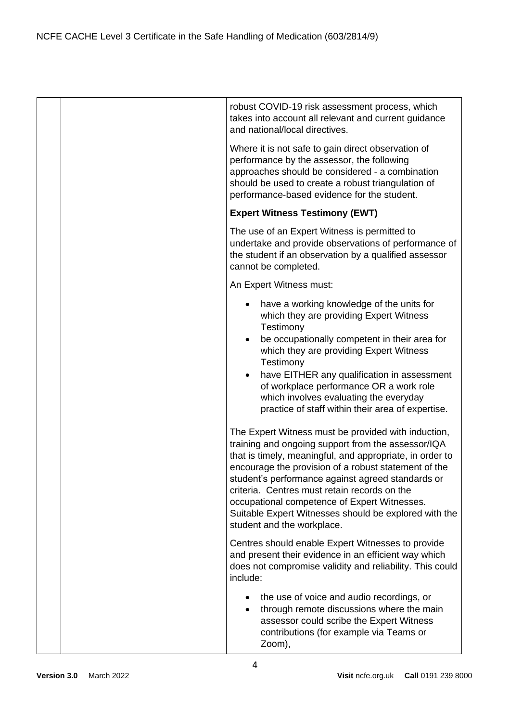|  | robust COVID-19 risk assessment process, which<br>takes into account all relevant and current guidance<br>and national/local directives.                                                                                                                                                                                                                                                                                                                                  |
|--|---------------------------------------------------------------------------------------------------------------------------------------------------------------------------------------------------------------------------------------------------------------------------------------------------------------------------------------------------------------------------------------------------------------------------------------------------------------------------|
|  | Where it is not safe to gain direct observation of<br>performance by the assessor, the following<br>approaches should be considered - a combination<br>should be used to create a robust triangulation of<br>performance-based evidence for the student.                                                                                                                                                                                                                  |
|  | <b>Expert Witness Testimony (EWT)</b>                                                                                                                                                                                                                                                                                                                                                                                                                                     |
|  | The use of an Expert Witness is permitted to<br>undertake and provide observations of performance of<br>the student if an observation by a qualified assessor<br>cannot be completed.                                                                                                                                                                                                                                                                                     |
|  | An Expert Witness must:                                                                                                                                                                                                                                                                                                                                                                                                                                                   |
|  | have a working knowledge of the units for<br>which they are providing Expert Witness<br>Testimony<br>be occupationally competent in their area for<br>which they are providing Expert Witness<br>Testimony<br>have EITHER any qualification in assessment<br>of workplace performance OR a work role<br>which involves evaluating the everyday<br>practice of staff within their area of expertise.                                                                       |
|  | The Expert Witness must be provided with induction,<br>training and ongoing support from the assessor/IQA<br>that is timely, meaningful, and appropriate, in order to<br>encourage the provision of a robust statement of the<br>student's performance against agreed standards or<br>criteria. Centres must retain records on the<br>occupational competence of Expert Witnesses.<br>Suitable Expert Witnesses should be explored with the<br>student and the workplace. |
|  | Centres should enable Expert Witnesses to provide<br>and present their evidence in an efficient way which<br>does not compromise validity and reliability. This could<br>include:                                                                                                                                                                                                                                                                                         |
|  | the use of voice and audio recordings, or<br>٠<br>through remote discussions where the main<br>$\bullet$<br>assessor could scribe the Expert Witness<br>contributions (for example via Teams or<br>Zoom),                                                                                                                                                                                                                                                                 |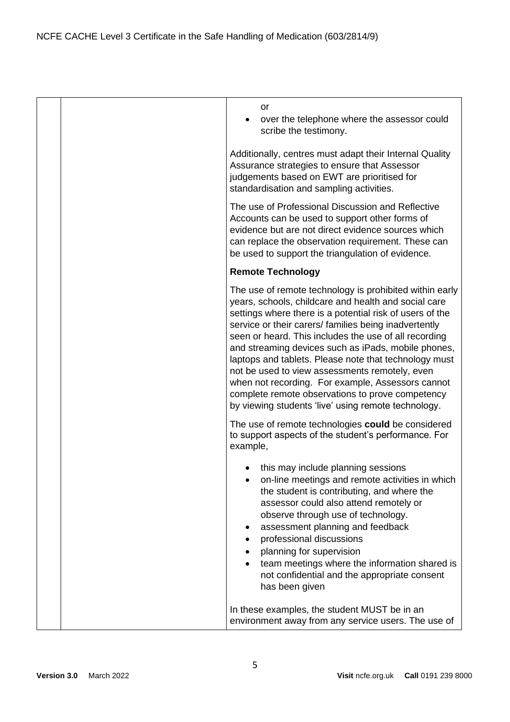|  | or<br>over the telephone where the assessor could<br>scribe the testimony.                                                                                                                                                                                                                                                                                                                                                                                                                                                                                                                                                      |
|--|---------------------------------------------------------------------------------------------------------------------------------------------------------------------------------------------------------------------------------------------------------------------------------------------------------------------------------------------------------------------------------------------------------------------------------------------------------------------------------------------------------------------------------------------------------------------------------------------------------------------------------|
|  | Additionally, centres must adapt their Internal Quality<br>Assurance strategies to ensure that Assessor<br>judgements based on EWT are prioritised for<br>standardisation and sampling activities.                                                                                                                                                                                                                                                                                                                                                                                                                              |
|  | The use of Professional Discussion and Reflective<br>Accounts can be used to support other forms of<br>evidence but are not direct evidence sources which<br>can replace the observation requirement. These can<br>be used to support the triangulation of evidence.                                                                                                                                                                                                                                                                                                                                                            |
|  | <b>Remote Technology</b>                                                                                                                                                                                                                                                                                                                                                                                                                                                                                                                                                                                                        |
|  | The use of remote technology is prohibited within early<br>years, schools, childcare and health and social care<br>settings where there is a potential risk of users of the<br>service or their carers/ families being inadvertently<br>seen or heard. This includes the use of all recording<br>and streaming devices such as iPads, mobile phones,<br>laptops and tablets. Please note that technology must<br>not be used to view assessments remotely, even<br>when not recording. For example, Assessors cannot<br>complete remote observations to prove competency<br>by viewing students 'live' using remote technology. |
|  | The use of remote technologies could be considered<br>to support aspects of the student's performance. For<br>example,                                                                                                                                                                                                                                                                                                                                                                                                                                                                                                          |
|  | this may include planning sessions<br>on-line meetings and remote activities in which<br>the student is contributing, and where the<br>assessor could also attend remotely or<br>observe through use of technology.<br>assessment planning and feedback<br>professional discussions<br>planning for supervision<br>team meetings where the information shared is<br>not confidential and the appropriate consent<br>has been given                                                                                                                                                                                              |
|  | In these examples, the student MUST be in an<br>environment away from any service users. The use of                                                                                                                                                                                                                                                                                                                                                                                                                                                                                                                             |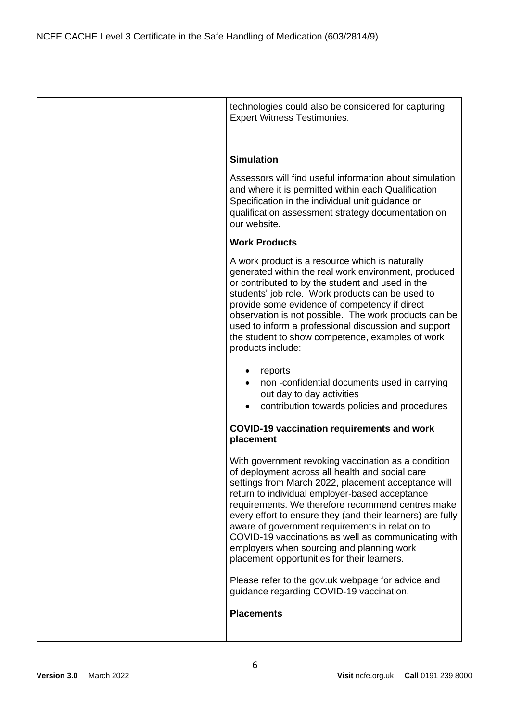|  | technologies could also be considered for capturing<br><b>Expert Witness Testimonies.</b>                                                                                                                                                                                                                                                                                                                                                                                                                                                                                                                                                                      |
|--|----------------------------------------------------------------------------------------------------------------------------------------------------------------------------------------------------------------------------------------------------------------------------------------------------------------------------------------------------------------------------------------------------------------------------------------------------------------------------------------------------------------------------------------------------------------------------------------------------------------------------------------------------------------|
|  |                                                                                                                                                                                                                                                                                                                                                                                                                                                                                                                                                                                                                                                                |
|  | <b>Simulation</b>                                                                                                                                                                                                                                                                                                                                                                                                                                                                                                                                                                                                                                              |
|  | Assessors will find useful information about simulation<br>and where it is permitted within each Qualification<br>Specification in the individual unit guidance or<br>qualification assessment strategy documentation on<br>our website.                                                                                                                                                                                                                                                                                                                                                                                                                       |
|  | <b>Work Products</b>                                                                                                                                                                                                                                                                                                                                                                                                                                                                                                                                                                                                                                           |
|  | A work product is a resource which is naturally<br>generated within the real work environment, produced<br>or contributed to by the student and used in the<br>students' job role. Work products can be used to<br>provide some evidence of competency if direct<br>observation is not possible. The work products can be<br>used to inform a professional discussion and support<br>the student to show competence, examples of work<br>products include:                                                                                                                                                                                                     |
|  | reports<br>non-confidential documents used in carrying<br>out day to day activities<br>contribution towards policies and procedures<br>$\bullet$                                                                                                                                                                                                                                                                                                                                                                                                                                                                                                               |
|  | <b>COVID-19 vaccination requirements and work</b><br>placement                                                                                                                                                                                                                                                                                                                                                                                                                                                                                                                                                                                                 |
|  | With government revoking vaccination as a condition<br>of deployment across all health and social care<br>settings from March 2022, placement acceptance will<br>return to individual employer-based acceptance<br>requirements. We therefore recommend centres make<br>every effort to ensure they (and their learners) are fully<br>aware of government requirements in relation to<br>COVID-19 vaccinations as well as communicating with<br>employers when sourcing and planning work<br>placement opportunities for their learners.<br>Please refer to the gov.uk webpage for advice and<br>guidance regarding COVID-19 vaccination.<br><b>Placements</b> |
|  |                                                                                                                                                                                                                                                                                                                                                                                                                                                                                                                                                                                                                                                                |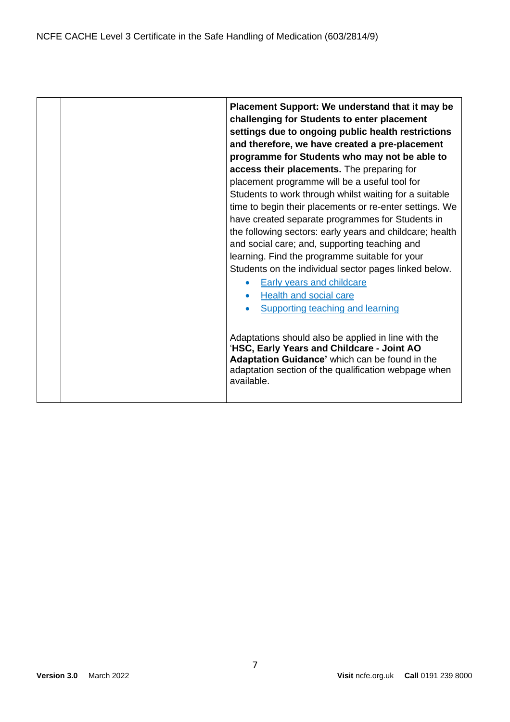|  | Placement Support: We understand that it may be<br>challenging for Students to enter placement<br>settings due to ongoing public health restrictions<br>and therefore, we have created a pre-placement<br>programme for Students who may not be able to<br>access their placements. The preparing for<br>placement programme will be a useful tool for<br>Students to work through whilst waiting for a suitable<br>time to begin their placements or re-enter settings. We<br>have created separate programmes for Students in<br>the following sectors: early years and childcare; health<br>and social care; and, supporting teaching and<br>learning. Find the programme suitable for your<br>Students on the individual sector pages linked below.<br><b>Early years and childcare</b><br>Health and social care<br>$\bullet$<br><b>Supporting teaching and learning</b> |
|--|-------------------------------------------------------------------------------------------------------------------------------------------------------------------------------------------------------------------------------------------------------------------------------------------------------------------------------------------------------------------------------------------------------------------------------------------------------------------------------------------------------------------------------------------------------------------------------------------------------------------------------------------------------------------------------------------------------------------------------------------------------------------------------------------------------------------------------------------------------------------------------|
|  | Adaptations should also be applied in line with the<br>'HSC, Early Years and Childcare - Joint AO<br>Adaptation Guidance' which can be found in the<br>adaptation section of the qualification webpage when<br>available.                                                                                                                                                                                                                                                                                                                                                                                                                                                                                                                                                                                                                                                     |